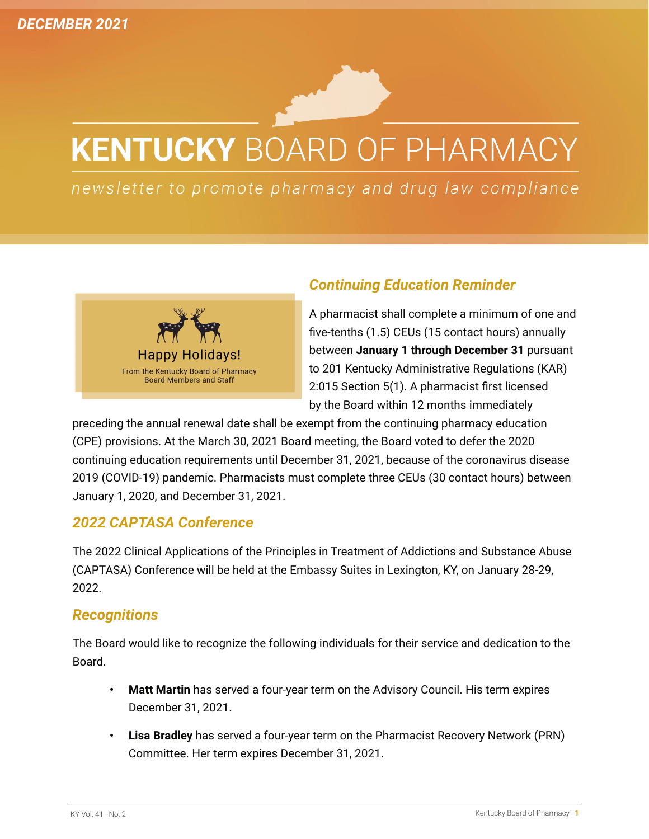# **KENTUCKY BOARD OF PHARMACY**

newsletter to promote pharmacy and drug law compliance



# *Continuing Education Reminder*

A pharmacist shall complete a minimum of one and five-tenths (1.5) CEUs (15 contact hours) annually between **January 1 through December 31** pursuant to 201 Kentucky Administrative Regulations (KAR) 2:015 Section 5(1). A pharmacist first licensed by the Board within 12 months immediately

preceding the annual renewal date shall be exempt from the continuing pharmacy education (CPE) provisions. At the March 30, 2021 Board meeting, the Board voted to defer the 2020 continuing education requirements until December 31, 2021, because of the coronavirus disease 2019 (COVID-19) pandemic. Pharmacists must complete three CEUs (30 contact hours) between January 1, 2020, and December 31, 2021.

## *2022 CAPTASA Conference*

The 2022 Clinical Applications of the Principles in Treatment of Addictions and Substance Abuse (CAPTASA) Conference will be held at the Embassy Suites in Lexington, KY, on January 28-29, 2022.

### *Recognitions*

The Board would like to recognize the following individuals for their service and dedication to the Board.

- **• Matt Martin** has served a four-year term on the Advisory Council. His term expires December 31, 2021.
- **• Lisa Bradley** has served a four-year term on the Pharmacist Recovery Network (PRN) Committee. Her term expires December 31, 2021.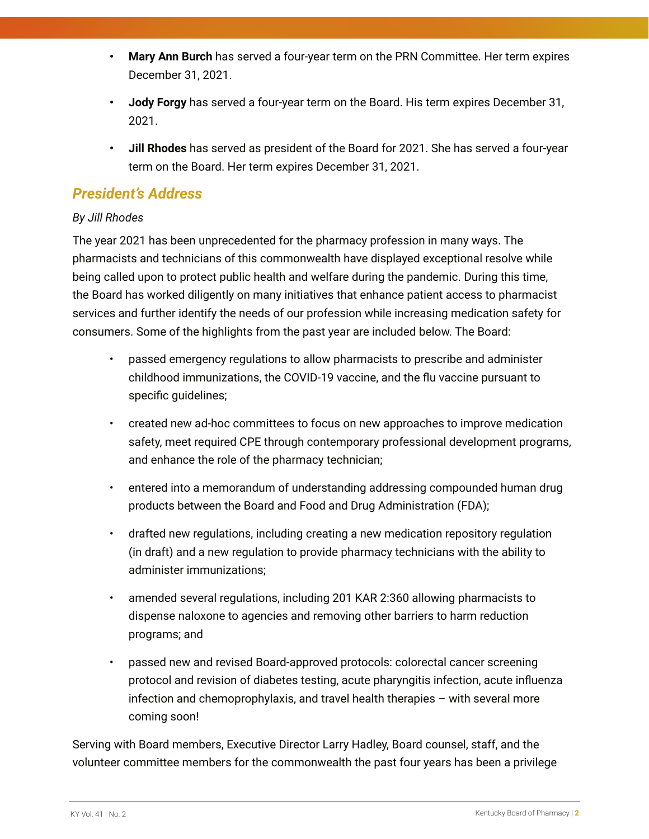- **• Mary Ann Burch** has served a four-year term on the PRN Committee. Her term expires December 31, 2021.
- **• Jody Forgy** has served a four-year term on the Board. His term expires December 31, 2021.
- **• Jill Rhodes** has served as president of the Board for 2021. She has served a four-year term on the Board. Her term expires December 31, 2021.

## *President's Address*

#### *By Jill Rhodes*

The year 2021 has been unprecedented for the pharmacy profession in many ways. The pharmacists and technicians of this commonwealth have displayed exceptional resolve while being called upon to protect public health and welfare during the pandemic. During this time, the Board has worked diligently on many initiatives that enhance patient access to pharmacist services and further identify the needs of our profession while increasing medication safety for consumers. Some of the highlights from the past year are included below. The Board:

- passed emergency regulations to allow pharmacists to prescribe and administer childhood immunizations, the COVID-19 vaccine, and the flu vaccine pursuant to specific guidelines;
- created new ad-hoc committees to focus on new approaches to improve medication safety, meet required CPE through contemporary professional development programs, and enhance the role of the pharmacy technician;
- entered into a memorandum of understanding addressing compounded human drug products between the Board and Food and Drug Administration (FDA);
- drafted new regulations, including creating a new medication repository regulation (in draft) and a new regulation to provide pharmacy technicians with the ability to administer immunizations;
- amended several regulations, including 201 KAR 2:360 allowing pharmacists to dispense naloxone to agencies and removing other barriers to harm reduction programs; and
- passed new and revised Board-approved protocols: colorectal cancer screening protocol and revision of diabetes testing, acute pharyngitis infection, acute influenza infection and chemoprophylaxis, and travel health therapies – with several more coming soon!

Serving with Board members, Executive Director Larry Hadley, Board counsel, staff, and the volunteer committee members for the commonwealth the past four years has been a privilege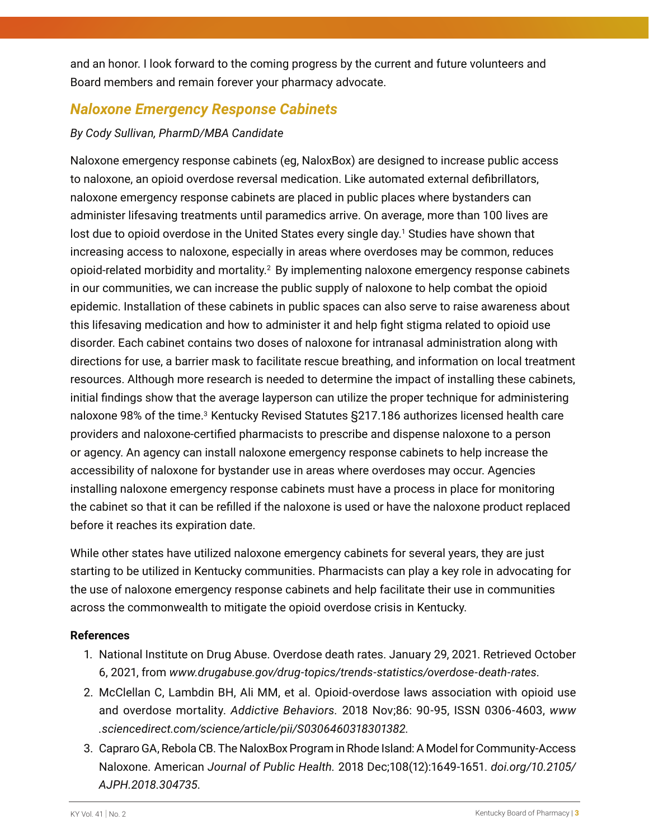and an honor. I look forward to the coming progress by the current and future volunteers and Board members and remain forever your pharmacy advocate.

## *Naloxone Emergency Response Cabinets*

#### *By Cody Sullivan, PharmD/MBA Candidate*

Naloxone emergency response cabinets (eg, NaloxBox) are designed to increase public access to naloxone, an opioid overdose reversal medication. Like automated external defibrillators, naloxone emergency response cabinets are placed in public places where bystanders can administer lifesaving treatments until paramedics arrive. On average, more than 100 lives are lost due to opioid overdose in the United States every single day.<sup>1</sup> Studies have shown that increasing access to naloxone, especially in areas where overdoses may be common, reduces opioid-related morbidity and mortality.<sup>2</sup> By implementing naloxone emergency response cabinets in our communities, we can increase the public supply of naloxone to help combat the opioid epidemic. Installation of these cabinets in public spaces can also serve to raise awareness about this lifesaving medication and how to administer it and help fight stigma related to opioid use disorder. Each cabinet contains two doses of naloxone for intranasal administration along with directions for use, a barrier mask to facilitate rescue breathing, and information on local treatment resources. Although more research is needed to determine the impact of installing these cabinets, initial findings show that the average layperson can utilize the proper technique for administering naloxone 98% of the time.<sup>3</sup> Kentucky Revised Statutes §217.186 authorizes licensed health care providers and naloxone-certified pharmacists to prescribe and dispense naloxone to a person or agency. An agency can install naloxone emergency response cabinets to help increase the accessibility of naloxone for bystander use in areas where overdoses may occur. Agencies installing naloxone emergency response cabinets must have a process in place for monitoring the cabinet so that it can be refilled if the naloxone is used or have the naloxone product replaced before it reaches its expiration date.

While other states have utilized naloxone emergency cabinets for several years, they are just starting to be utilized in Kentucky communities. Pharmacists can play a key role in advocating for the use of naloxone emergency response cabinets and help facilitate their use in communities across the commonwealth to mitigate the opioid overdose crisis in Kentucky.

#### **References**

- 1. National Institute on Drug Abuse. Overdose death rates. January 29, 2021. Retrieved October 6, 2021, from *[www.drugabuse.gov/drug-topics/trends-statistics/overdose-death-rates](http://www.drugabuse.gov/drug-topics/trends-statistics/overdose-death-rates)*.
- 2. McClellan C, Lambdin BH, Ali MM, et al. Opioid-overdose laws association with opioid use and overdose mortality. *Addictive Behaviors.* 2018 Nov;86: 90-95, ISSN 0306-4603, *[www](https://www.sciencedirect.com/science/article/abs/pii/S0306460318301382) [.sciencedirect.com/science/article/pii/S0306460318301382.](https://www.sciencedirect.com/science/article/abs/pii/S0306460318301382)*
- 3. Capraro GA, Rebola CB. The NaloxBox Program in Rhode Island: A Model for Community-Access Naloxone. American *Journal of Public Health.* 2018 Dec;108(12):1649-1651. *[doi.org/10.2105/](https://ajph.aphapublications.org/doi/10.2105/AJPH.2018.304735) [AJPH.2018.304735.](https://ajph.aphapublications.org/doi/10.2105/AJPH.2018.304735)*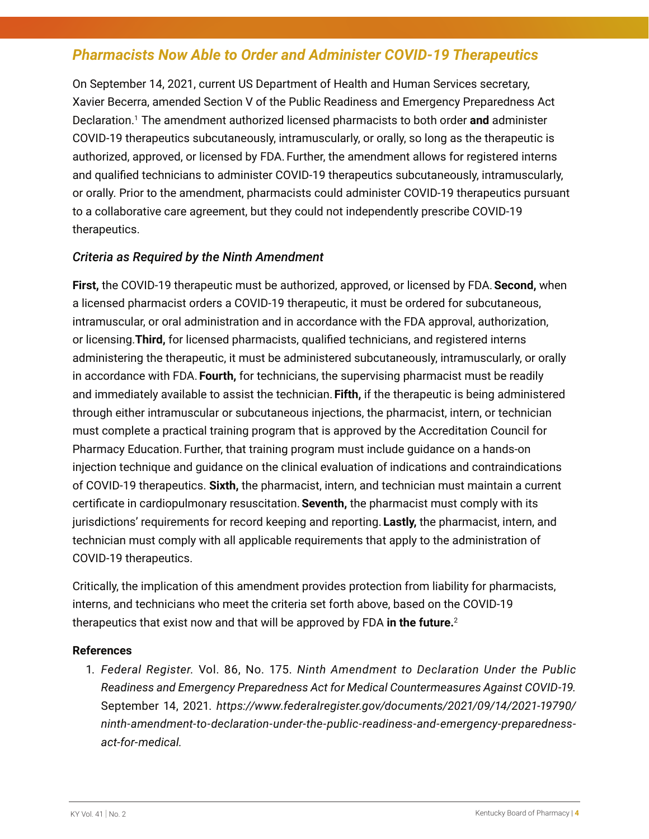## *Pharmacists Now Able to Order and Administer COVID-19 Therapeutics*

On September 14, 2021, current US Department of Health and Human Services secretary, Xavier Becerra, amended Section V of the Public Readiness and Emergency Preparedness Act Declaration.1 The amendment authorized licensed pharmacists to both order **and** administer COVID-19 therapeutics subcutaneously, intramuscularly, or orally, so long as the therapeutic is authorized, approved, or licensed by FDA. Further, the amendment allows for registered interns and qualified technicians to administer COVID-19 therapeutics subcutaneously, intramuscularly, or orally. Prior to the amendment, pharmacists could administer COVID-19 therapeutics pursuant to a collaborative care agreement, but they could not independently prescribe COVID-19 therapeutics.

#### *Criteria as Required by the Ninth Amendment*

**First,** the COVID-19 therapeutic must be authorized, approved, or licensed by FDA.**Second,** when a licensed pharmacist orders a COVID-19 therapeutic, it must be ordered for subcutaneous, intramuscular, or oral administration and in accordance with the FDA approval, authorization, or licensing.**Third,** for licensed pharmacists, qualified technicians, and registered interns administering the therapeutic, it must be administered subcutaneously, intramuscularly, or orally in accordance with FDA. **Fourth,** for technicians, the supervising pharmacist must be readily and immediately available to assist the technician. **Fifth,** if the therapeutic is being administered through either intramuscular or subcutaneous injections, the pharmacist, intern, or technician must complete a practical training program that is approved by the Accreditation Council for Pharmacy Education. Further, that training program must include guidance on a hands-on injection technique and guidance on the clinical evaluation of indications and contraindications of COVID-19 therapeutics. **Sixth,** the pharmacist, intern, and technician must maintain a current certificate in cardiopulmonary resuscitation.**Seventh,** the pharmacist must comply with its jurisdictions' requirements for record keeping and reporting. **Lastly,** the pharmacist, intern, and technician must comply with all applicable requirements that apply to the administration of COVID-19 therapeutics.

Critically, the implication of this amendment provides protection from liability for pharmacists, interns, and technicians who meet the criteria set forth above, based on the COVID-19 therapeutics that exist now and that will be approved by FDA **in the future.**<sup>2</sup>

#### **References**

1. *Federal Register.* Vol. 86, No. 175. *Ninth Amendment to Declaration Under the Public Readiness and Emergency Preparedness Act for Medical Countermeasures Against COVID-19.*  September 14, 2021. *[https://www.federalregister.gov/documents/2021/09/14/2021-19790/](https://www.federalregister.gov/documents/2021/09/14/2021-19790/ninth-amendment-to-declaration-under-the-public-readiness-and-emergency-preparedness-act-for-medical) [ninth-amendment-to-declaration-under-the-public-readiness-and-emergency-preparedness](https://www.federalregister.gov/documents/2021/09/14/2021-19790/ninth-amendment-to-declaration-under-the-public-readiness-and-emergency-preparedness-act-for-medical)act-for-medical.*